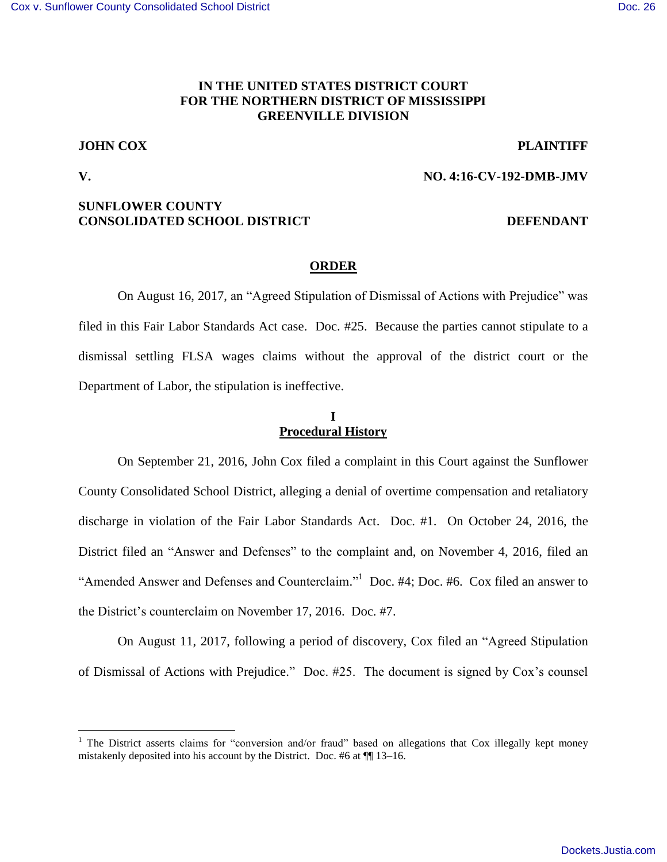## **IN THE UNITED STATES DISTRICT COURT FOR THE NORTHERN DISTRICT OF MISSISSIPPI GREENVILLE DIVISION**

## **JOHN COX PLAINTIFF**

**V. NO. 4:16-CV-192-DMB-JMV** 

 $\overline{a}$ 

# **SUNFLOWER COUNTY CONSOLIDATED SCHOOL DISTRICT DEFENDANT**

### **ORDER**

 On August 16, 2017, an "Agreed Stipulation of Dismissal of Actions with Prejudice" was filed in this Fair Labor Standards Act case. Doc. #25. Because the parties cannot stipulate to a dismissal settling FLSA wages claims without the approval of the district court or the Department of Labor, the stipulation is ineffective.

### **I Procedural History**

On September 21, 2016, John Cox filed a complaint in this Court against the Sunflower County Consolidated School District, alleging a denial of overtime compensation and retaliatory discharge in violation of the Fair Labor Standards Act. Doc. #1. On October 24, 2016, the District filed an "Answer and Defenses" to the complaint and, on November 4, 2016, filed an "Amended Answer and Defenses and Counterclaim."<sup>1</sup> Doc. #4; Doc. #6. Cox filed an answer to the District's counterclaim on November 17, 2016. Doc. #7.

On August 11, 2017, following a period of discovery, Cox filed an "Agreed Stipulation of Dismissal of Actions with Prejudice." Doc. #25. The document is signed by Cox's counsel

<sup>&</sup>lt;sup>1</sup> The District asserts claims for "conversion and/or fraud" based on allegations that Cox illegally kept money mistakenly deposited into his account by the District. Doc. #6 at ¶¶ 13–16.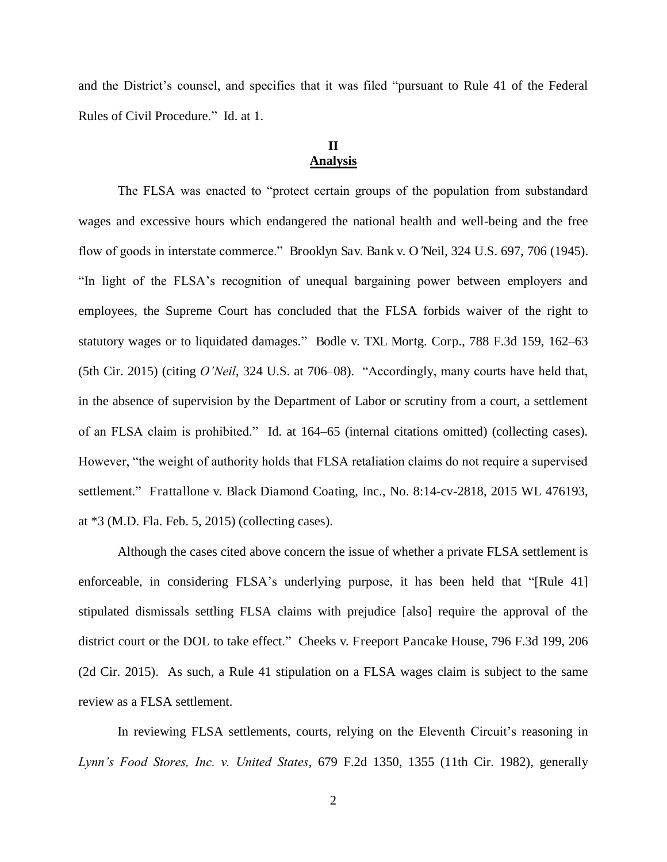and the District's counsel, and specifies that it was filed "pursuant to Rule 41 of the Federal Rules of Civil Procedure." Id. at 1.

# **II Analysis**

 The FLSA was enacted to "protect certain groups of the population from substandard wages and excessive hours which endangered the national health and well-being and the free flow of goods in interstate commerce." Brooklyn Sav. Bank v. O*'*Neil, 324 U.S. 697, 706 (1945). "In light of the FLSA's recognition of unequal bargaining power between employers and employees, the Supreme Court has concluded that the FLSA forbids waiver of the right to statutory wages or to liquidated damages." Bodle v. TXL Mortg. Corp., 788 F.3d 159, 162–63 (5th Cir. 2015) (citing *O'Neil*, 324 U.S. at 706–08). "Accordingly, many courts have held that, in the absence of supervision by the Department of Labor or scrutiny from a court, a settlement of an FLSA claim is prohibited." Id. at 164–65 (internal citations omitted) (collecting cases). However, "the weight of authority holds that FLSA retaliation claims do not require a supervised settlement." Frattallone v. Black Diamond Coating, Inc., No. 8:14-cv-2818, 2015 WL 476193, at \*3 (M.D. Fla. Feb. 5, 2015) (collecting cases).

 Although the cases cited above concern the issue of whether a private FLSA settlement is enforceable, in considering FLSA's underlying purpose, it has been held that "[Rule 41] stipulated dismissals settling FLSA claims with prejudice [also] require the approval of the district court or the DOL to take effect." Cheeks v. Freeport Pancake House, 796 F.3d 199, 206 (2d Cir. 2015). As such, a Rule 41 stipulation on a FLSA wages claim is subject to the same review as a FLSA settlement.

 In reviewing FLSA settlements, courts, relying on the Eleventh Circuit's reasoning in *Lynn's Food Stores, Inc. v. United States*, 679 F.2d 1350, 1355 (11th Cir. 1982), generally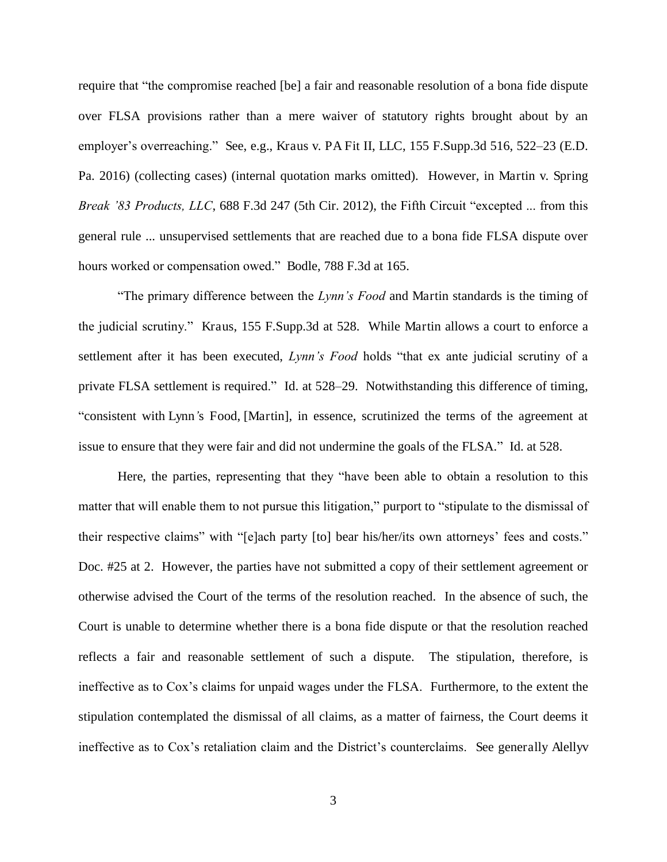require that "the compromise reached [be] a fair and reasonable resolution of a bona fide dispute over FLSA provisions rather than a mere waiver of statutory rights brought about by an employer's overreaching." See, e.g., Kraus v. PA Fit II, LLC, 155 F.Supp.3d 516, 522–23 (E.D. Pa. 2016) (collecting cases) (internal quotation marks omitted). However, in Martin v. Spring *Break '83 Products, LLC*, 688 F.3d 247 (5th Cir. 2012), the Fifth Circuit "excepted ... from this general rule ... unsupervised settlements that are reached due to a bona fide FLSA dispute over hours worked or compensation owed." Bodle, 788 F.3d at 165.

"The primary difference between the *Lynn's Food* and Martin standards is the timing of the judicial scrutiny." Kraus, 155 F.Supp.3d at 528. While Martin allows a court to enforce a settlement after it has been executed, *Lynn's Food* holds "that ex ante judicial scrutiny of a private FLSA settlement is required." Id. at 528–29. Notwithstanding this difference of timing, "consistent with Lynn*'*s Food, [Martin], in essence, scrutinized the terms of the agreement at issue to ensure that they were fair and did not undermine the goals of the FLSA." Id. at 528.

 Here, the parties, representing that they "have been able to obtain a resolution to this matter that will enable them to not pursue this litigation," purport to "stipulate to the dismissal of their respective claims" with "[e]ach party [to] bear his/her/its own attorneys' fees and costs." Doc. #25 at 2. However, the parties have not submitted a copy of their settlement agreement or otherwise advised the Court of the terms of the resolution reached. In the absence of such, the Court is unable to determine whether there is a bona fide dispute or that the resolution reached reflects a fair and reasonable settlement of such a dispute. The stipulation, therefore, is ineffective as to Cox's claims for unpaid wages under the FLSA. Furthermore, to the extent the stipulation contemplated the dismissal of all claims, as a matter of fairness, the Court deems it ineffective as to Cox's retaliation claim and the District's counterclaims. See generally Alellyv